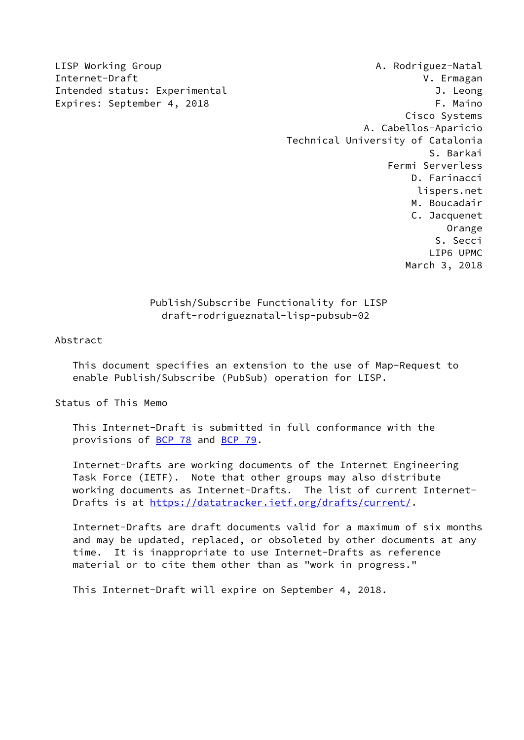LISP Working Group **A. Rodriguez-Natal** Internet-Draft V. Ermagan Intended status: Experimental J. Leong Expires: September 4, 2018 F. Maino Cisco Systems A. Cabellos-Aparicio Technical University of Catalonia S. Barkai Fermi Serverless D. Farinacci lispers.net M. Boucadair C. Jacquenet Orange S. Secci LIP6 UPMC March 3, 2018

## Publish/Subscribe Functionality for LISP draft-rodrigueznatal-lisp-pubsub-02

Abstract

 This document specifies an extension to the use of Map-Request to enable Publish/Subscribe (PubSub) operation for LISP.

Status of This Memo

 This Internet-Draft is submitted in full conformance with the provisions of [BCP 78](https://datatracker.ietf.org/doc/pdf/bcp78) and [BCP 79](https://datatracker.ietf.org/doc/pdf/bcp79).

 Internet-Drafts are working documents of the Internet Engineering Task Force (IETF). Note that other groups may also distribute working documents as Internet-Drafts. The list of current Internet Drafts is at<https://datatracker.ietf.org/drafts/current/>.

 Internet-Drafts are draft documents valid for a maximum of six months and may be updated, replaced, or obsoleted by other documents at any time. It is inappropriate to use Internet-Drafts as reference material or to cite them other than as "work in progress."

This Internet-Draft will expire on September 4, 2018.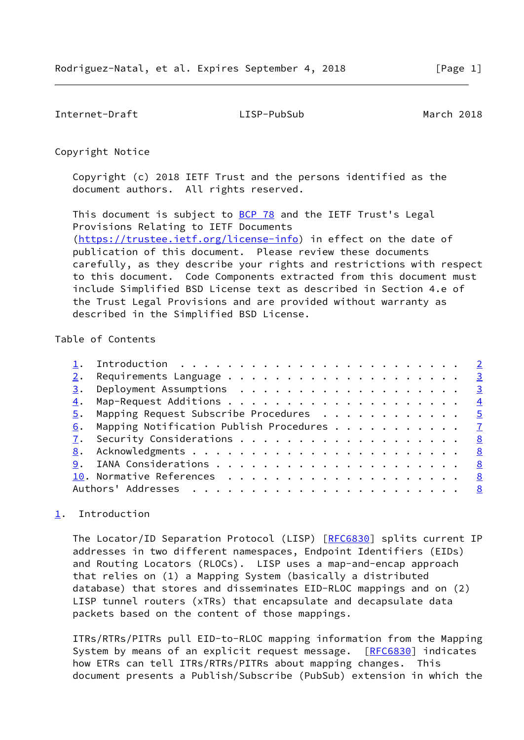<span id="page-1-1"></span>Internet-Draft LISP-PubSub March 2018

Copyright Notice

 Copyright (c) 2018 IETF Trust and the persons identified as the document authors. All rights reserved.

This document is subject to **[BCP 78](https://datatracker.ietf.org/doc/pdf/bcp78)** and the IETF Trust's Legal Provisions Relating to IETF Documents [\(https://trustee.ietf.org/license-info](https://trustee.ietf.org/license-info)) in effect on the date of publication of this document. Please review these documents carefully, as they describe your rights and restrictions with respect to this document. Code Components extracted from this document must include Simplified BSD License text as described in Section 4.e of the Trust Legal Provisions and are provided without warranty as described in the Simplified BSD License.

# Table of Contents

| 2. | Requirements Language $\ldots$ 3                        |  |
|----|---------------------------------------------------------|--|
|    |                                                         |  |
|    |                                                         |  |
|    | $\overline{5}$ . Mapping Request Subscribe Procedures 5 |  |
| 6. | Mapping Notification Publish Procedures 7               |  |
|    |                                                         |  |
|    |                                                         |  |
|    |                                                         |  |
|    |                                                         |  |
|    |                                                         |  |
|    |                                                         |  |

# <span id="page-1-0"></span>[1](#page-1-0). Introduction

The Locator/ID Separation Protocol (LISP) [[RFC6830](https://datatracker.ietf.org/doc/pdf/rfc6830)] splits current IP addresses in two different namespaces, Endpoint Identifiers (EIDs) and Routing Locators (RLOCs). LISP uses a map-and-encap approach that relies on (1) a Mapping System (basically a distributed database) that stores and disseminates EID-RLOC mappings and on (2) LISP tunnel routers (xTRs) that encapsulate and decapsulate data packets based on the content of those mappings.

 ITRs/RTRs/PITRs pull EID-to-RLOC mapping information from the Mapping System by means of an explicit request message. [\[RFC6830](https://datatracker.ietf.org/doc/pdf/rfc6830)] indicates how ETRs can tell ITRs/RTRs/PITRs about mapping changes. This document presents a Publish/Subscribe (PubSub) extension in which the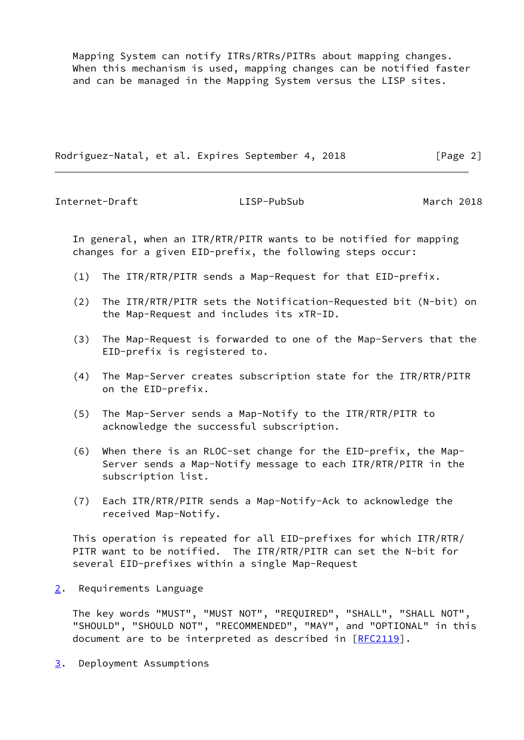Mapping System can notify ITRs/RTRs/PITRs about mapping changes. When this mechanism is used, mapping changes can be notified faster and can be managed in the Mapping System versus the LISP sites.

Rodriguez-Natal, et al. Expires September 4, 2018 [Page 2]

<span id="page-2-1"></span>Internet-Draft LISP-PubSub March 2018

 In general, when an ITR/RTR/PITR wants to be notified for mapping changes for a given EID-prefix, the following steps occur:

- (1) The ITR/RTR/PITR sends a Map-Request for that EID-prefix.
- (2) The ITR/RTR/PITR sets the Notification-Requested bit (N-bit) on the Map-Request and includes its xTR-ID.
- (3) The Map-Request is forwarded to one of the Map-Servers that the EID-prefix is registered to.
- (4) The Map-Server creates subscription state for the ITR/RTR/PITR on the EID-prefix.
- (5) The Map-Server sends a Map-Notify to the ITR/RTR/PITR to acknowledge the successful subscription.
- (6) When there is an RLOC-set change for the EID-prefix, the Map- Server sends a Map-Notify message to each ITR/RTR/PITR in the subscription list.
- (7) Each ITR/RTR/PITR sends a Map-Notify-Ack to acknowledge the received Map-Notify.

 This operation is repeated for all EID-prefixes for which ITR/RTR/ PITR want to be notified. The ITR/RTR/PITR can set the N-bit for several EID-prefixes within a single Map-Request

<span id="page-2-0"></span>[2](#page-2-0). Requirements Language

 The key words "MUST", "MUST NOT", "REQUIRED", "SHALL", "SHALL NOT", "SHOULD", "SHOULD NOT", "RECOMMENDED", "MAY", and "OPTIONAL" in this document are to be interpreted as described in  $[REC2119]$ .

<span id="page-2-2"></span>[3](#page-2-2). Deployment Assumptions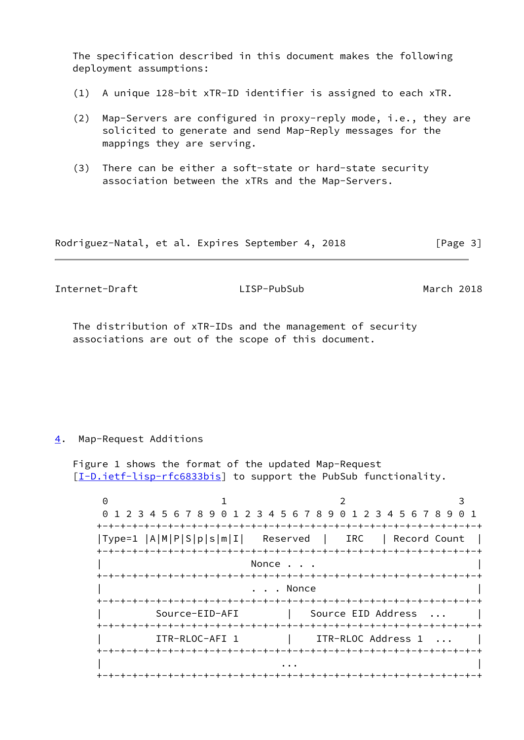The specification described in this document makes the following deployment assumptions:

- (1) A unique 128-bit xTR-ID identifier is assigned to each xTR.
- (2) Map-Servers are configured in proxy-reply mode, i.e., they are solicited to generate and send Map-Reply messages for the mappings they are serving.
- (3) There can be either a soft-state or hard-state security association between the xTRs and the Map-Servers.

Rodriguez-Natal, et al. Expires September 4, 2018 [Page 3]

<span id="page-3-1"></span>Internet-Draft LISP-PubSub March 2018

 The distribution of xTR-IDs and the management of security associations are out of the scope of this document.

### <span id="page-3-0"></span>[4](#page-3-0). Map-Request Additions

 Figure 1 shows the format of the updated Map-Request [\[I-D.ietf-lisp-rfc6833bis](#page-8-3)] to support the PubSub functionality.

 $0$  1 2 3 0 1 2 3 4 5 6 7 8 9 0 1 2 3 4 5 6 7 8 9 0 1 2 3 4 5 6 7 8 9 0 1 +-+-+-+-+-+-+-+-+-+-+-+-+-+-+-+-+-+-+-+-+-+-+-+-+-+-+-+-+-+-+-+-+ |Type=1 |A|M|P|S|p|s|m|I| Reserved | IRC | Record Count | +-+-+-+-+-+-+-+-+-+-+-+-+-+-+-+-+-+-+-+-+-+-+-+-+-+-+-+-+-+-+-+-+ Nonce . . . +-+-+-+-+-+-+-+-+-+-+-+-+-+-+-+-+-+-+-+-+-+-+-+-+-+-+-+-+-+-+-+-+ . . . Nonce +-+-+-+-+-+-+-+-+-+-+-+-+-+-+-+-+-+-+-+-+-+-+-+-+-+-+-+-+-+-+-+-+ | Source-EID-AFI | Source EID Address ... | +-+-+-+-+-+-+-+-+-+-+-+-+-+-+-+-+-+-+-+-+-+-+-+-+-+-+-+-+-+-+-+-+ | ITR-RLOC-AFI 1 | ITR-RLOC Address 1 ... | +-+-+-+-+-+-+-+-+-+-+-+-+-+-+-+-+-+-+-+-+-+-+-+-+-+-+-+-+-+-+-+-+ | ... | ... | ... | ... | ... | ... | ... | ... | ... | ... | ... | ... | ... | ... | ... | ... | ... | ... | . +-+-+-+-+-+-+-+-+-+-+-+-+-+-+-+-+-+-+-+-+-+-+-+-+-+-+-+-+-+-+-+-+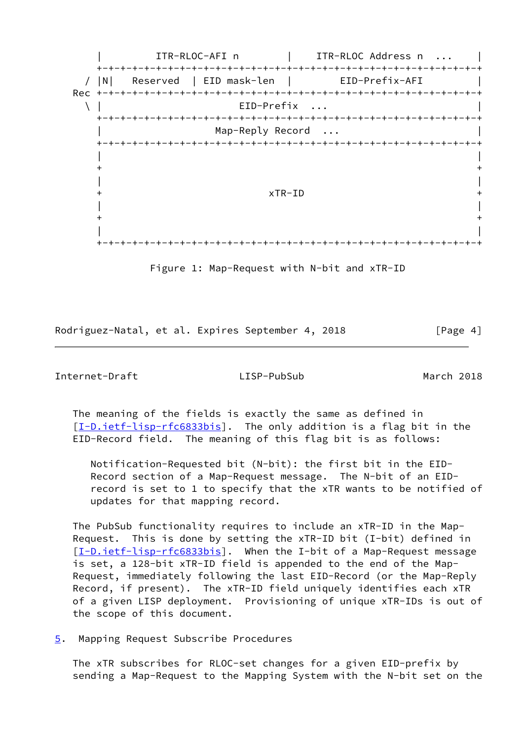

Figure 1: Map-Request with N-bit and xTR-ID

Rodriguez-Natal, et al. Expires September 4, 2018 [Page 4]

### <span id="page-4-1"></span>Internet-Draft LISP-PubSub March 2018

 The meaning of the fields is exactly the same as defined in [\[I-D.ietf-lisp-rfc6833bis](#page-8-3)]. The only addition is a flag bit in the EID-Record field. The meaning of this flag bit is as follows:

 Notification-Requested bit (N-bit): the first bit in the EID- Record section of a Map-Request message. The N-bit of an EID record is set to 1 to specify that the xTR wants to be notified of updates for that mapping record.

 The PubSub functionality requires to include an xTR-ID in the Map- Request. This is done by setting the xTR-ID bit (I-bit) defined in [\[I-D.ietf-lisp-rfc6833bis](#page-8-3)]. When the I-bit of a Map-Request message is set, a 128-bit xTR-ID field is appended to the end of the Map- Request, immediately following the last EID-Record (or the Map-Reply Record, if present). The xTR-ID field uniquely identifies each xTR of a given LISP deployment. Provisioning of unique xTR-IDs is out of the scope of this document.

<span id="page-4-0"></span>[5](#page-4-0). Mapping Request Subscribe Procedures

 The xTR subscribes for RLOC-set changes for a given EID-prefix by sending a Map-Request to the Mapping System with the N-bit set on the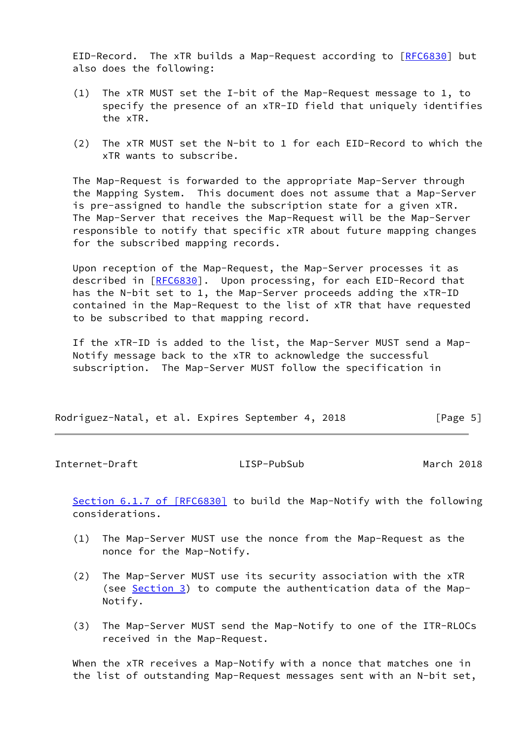EID-Record. The xTR builds a Map-Request according to [\[RFC6830](https://datatracker.ietf.org/doc/pdf/rfc6830)] but also does the following:

- (1) The xTR MUST set the I-bit of the Map-Request message to 1, to specify the presence of an xTR-ID field that uniquely identifies the xTR.
- (2) The xTR MUST set the N-bit to 1 for each EID-Record to which the xTR wants to subscribe.

 The Map-Request is forwarded to the appropriate Map-Server through the Mapping System. This document does not assume that a Map-Server is pre-assigned to handle the subscription state for a given xTR. The Map-Server that receives the Map-Request will be the Map-Server responsible to notify that specific xTR about future mapping changes for the subscribed mapping records.

 Upon reception of the Map-Request, the Map-Server processes it as described in [\[RFC6830](https://datatracker.ietf.org/doc/pdf/rfc6830)]. Upon processing, for each EID-Record that has the N-bit set to 1, the Map-Server proceeds adding the xTR-ID contained in the Map-Request to the list of xTR that have requested to be subscribed to that mapping record.

 If the xTR-ID is added to the list, the Map-Server MUST send a Map- Notify message back to the xTR to acknowledge the successful subscription. The Map-Server MUST follow the specification in

| Rodriguez-Natal, et al. Expires September 4, 2018 | [Page 5] |
|---------------------------------------------------|----------|
|---------------------------------------------------|----------|

Internet-Draft LISP-PubSub March 2018

Section [6.1.7 of \[RFC6830\]](https://datatracker.ietf.org/doc/pdf/rfc6830#section-6.1.7) to build the Map-Notify with the following considerations.

- (1) The Map-Server MUST use the nonce from the Map-Request as the nonce for the Map-Notify.
- (2) The Map-Server MUST use its security association with the xTR (see [Section 3\)](#page-2-2) to compute the authentication data of the Map-Notify.
- (3) The Map-Server MUST send the Map-Notify to one of the ITR-RLOCs received in the Map-Request.

 When the xTR receives a Map-Notify with a nonce that matches one in the list of outstanding Map-Request messages sent with an N-bit set,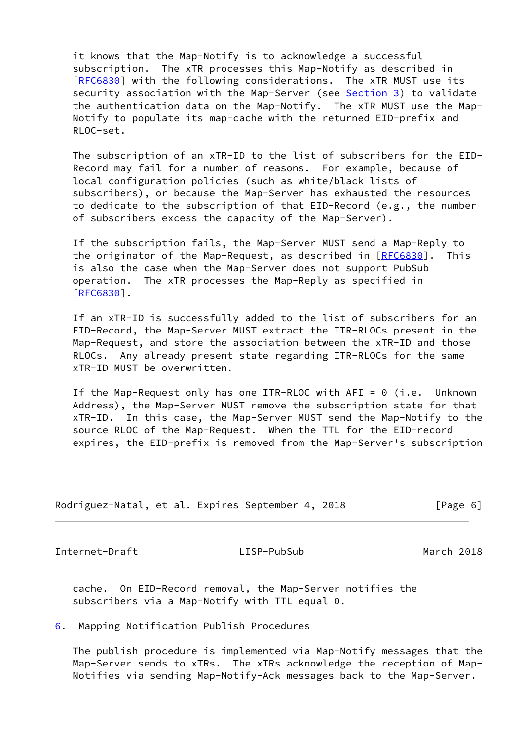it knows that the Map-Notify is to acknowledge a successful subscription. The xTR processes this Map-Notify as described in [\[RFC6830](https://datatracker.ietf.org/doc/pdf/rfc6830)] with the following considerations. The xTR MUST use its security association with the Map-Server (see [Section 3\)](#page-2-2) to validate the authentication data on the Map-Notify. The xTR MUST use the Map- Notify to populate its map-cache with the returned EID-prefix and RLOC-set.

 The subscription of an xTR-ID to the list of subscribers for the EID- Record may fail for a number of reasons. For example, because of local configuration policies (such as white/black lists of subscribers), or because the Map-Server has exhausted the resources to dedicate to the subscription of that EID-Record (e.g., the number of subscribers excess the capacity of the Map-Server).

 If the subscription fails, the Map-Server MUST send a Map-Reply to the originator of the Map-Request, as described in [[RFC6830\]](https://datatracker.ietf.org/doc/pdf/rfc6830). This is also the case when the Map-Server does not support PubSub operation. The xTR processes the Map-Reply as specified in [\[RFC6830](https://datatracker.ietf.org/doc/pdf/rfc6830)].

 If an xTR-ID is successfully added to the list of subscribers for an EID-Record, the Map-Server MUST extract the ITR-RLOCs present in the Map-Request, and store the association between the xTR-ID and those RLOCs. Any already present state regarding ITR-RLOCs for the same xTR-ID MUST be overwritten.

If the Map-Request only has one ITR-RLOC with  $AFI = 0$  (i.e. Unknown Address), the Map-Server MUST remove the subscription state for that xTR-ID. In this case, the Map-Server MUST send the Map-Notify to the source RLOC of the Map-Request. When the TTL for the EID-record expires, the EID-prefix is removed from the Map-Server's subscription

| Rodriguez-Natal, et al. Expires September 4, 2018 |  |  |  |  |  | [Page 6] |  |  |
|---------------------------------------------------|--|--|--|--|--|----------|--|--|
|---------------------------------------------------|--|--|--|--|--|----------|--|--|

<span id="page-6-1"></span>Internet-Draft LISP-PubSub March 2018

 cache. On EID-Record removal, the Map-Server notifies the subscribers via a Map-Notify with TTL equal 0.

<span id="page-6-0"></span>[6](#page-6-0). Mapping Notification Publish Procedures

 The publish procedure is implemented via Map-Notify messages that the Map-Server sends to xTRs. The xTRs acknowledge the reception of Map- Notifies via sending Map-Notify-Ack messages back to the Map-Server.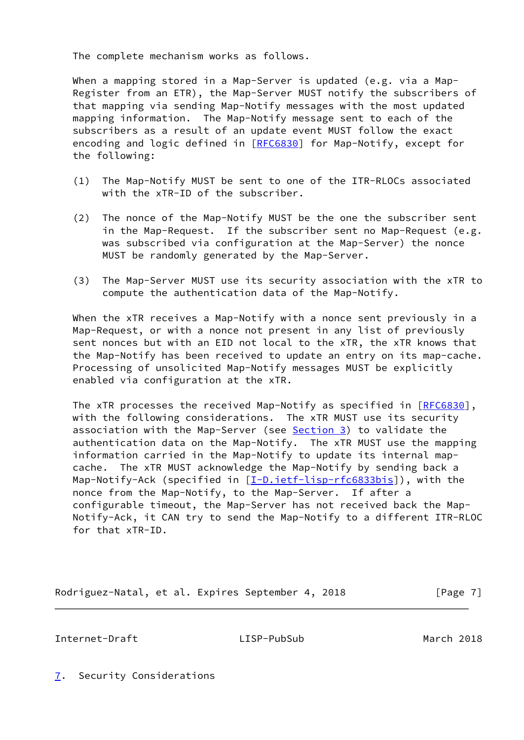The complete mechanism works as follows.

 When a mapping stored in a Map-Server is updated (e.g. via a Map- Register from an ETR), the Map-Server MUST notify the subscribers of that mapping via sending Map-Notify messages with the most updated mapping information. The Map-Notify message sent to each of the subscribers as a result of an update event MUST follow the exact encoding and logic defined in [[RFC6830](https://datatracker.ietf.org/doc/pdf/rfc6830)] for Map-Notify, except for the following:

- (1) The Map-Notify MUST be sent to one of the ITR-RLOCs associated with the xTR-ID of the subscriber.
- (2) The nonce of the Map-Notify MUST be the one the subscriber sent in the Map-Request. If the subscriber sent no Map-Request (e.g. was subscribed via configuration at the Map-Server) the nonce MUST be randomly generated by the Map-Server.
- (3) The Map-Server MUST use its security association with the xTR to compute the authentication data of the Map-Notify.

When the xTR receives a Map-Notify with a nonce sent previously in a Map-Request, or with a nonce not present in any list of previously sent nonces but with an EID not local to the xTR, the xTR knows that the Map-Notify has been received to update an entry on its map-cache. Processing of unsolicited Map-Notify messages MUST be explicitly enabled via configuration at the xTR.

The xTR processes the received Map-Notify as specified in [[RFC6830](https://datatracker.ietf.org/doc/pdf/rfc6830)], with the following considerations. The xTR MUST use its security association with the Map-Server (see [Section 3](#page-2-2)) to validate the authentication data on the Map-Notify. The xTR MUST use the mapping information carried in the Map-Notify to update its internal map cache. The xTR MUST acknowledge the Map-Notify by sending back a Map-Notify-Ack (specified in [\[I-D.ietf-lisp-rfc6833bis](#page-8-3)]), with the nonce from the Map-Notify, to the Map-Server. If after a configurable timeout, the Map-Server has not received back the Map- Notify-Ack, it CAN try to send the Map-Notify to a different ITR-RLOC for that xTR-ID.

Rodriguez-Natal, et al. Expires September 4, 2018 [Page 7]

<span id="page-7-1"></span>Internet-Draft LISP-PubSub March 2018

<span id="page-7-0"></span>[7](#page-7-0). Security Considerations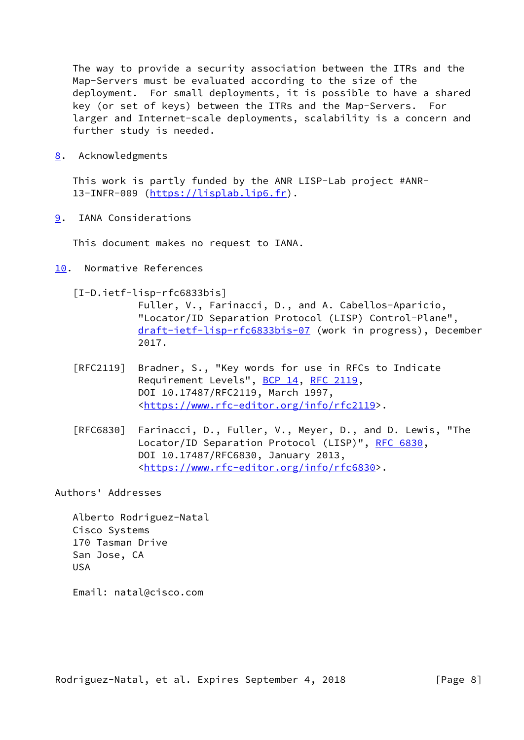The way to provide a security association between the ITRs and the Map-Servers must be evaluated according to the size of the deployment. For small deployments, it is possible to have a shared key (or set of keys) between the ITRs and the Map-Servers. For larger and Internet-scale deployments, scalability is a concern and further study is needed.

<span id="page-8-0"></span>[8](#page-8-0). Acknowledgments

 This work is partly funded by the ANR LISP-Lab project #ANR- 13-INFR-009 [\(https://lisplab.lip6.fr](https://lisplab.lip6.fr)).

<span id="page-8-1"></span>[9](#page-8-1). IANA Considerations

This document makes no request to IANA.

- <span id="page-8-3"></span><span id="page-8-2"></span>[10.](#page-8-2) Normative References
	- [I-D.ietf-lisp-rfc6833bis]

 Fuller, V., Farinacci, D., and A. Cabellos-Aparicio, "Locator/ID Separation Protocol (LISP) Control-Plane", [draft-ietf-lisp-rfc6833bis-07](https://datatracker.ietf.org/doc/pdf/draft-ietf-lisp-rfc6833bis-07) (work in progress), December 2017.

- [RFC2119] Bradner, S., "Key words for use in RFCs to Indicate Requirement Levels", [BCP 14](https://datatracker.ietf.org/doc/pdf/bcp14), [RFC 2119](https://datatracker.ietf.org/doc/pdf/rfc2119), DOI 10.17487/RFC2119, March 1997, <[https://www.rfc-editor.org/info/rfc2119>](https://www.rfc-editor.org/info/rfc2119).
- [RFC6830] Farinacci, D., Fuller, V., Meyer, D., and D. Lewis, "The Locator/ID Separation Protocol (LISP)", [RFC 6830,](https://datatracker.ietf.org/doc/pdf/rfc6830) DOI 10.17487/RFC6830, January 2013, <[https://www.rfc-editor.org/info/rfc6830>](https://www.rfc-editor.org/info/rfc6830).

Authors' Addresses

 Alberto Rodriguez-Natal Cisco Systems 170 Tasman Drive San Jose, CA USA

Email: natal@cisco.com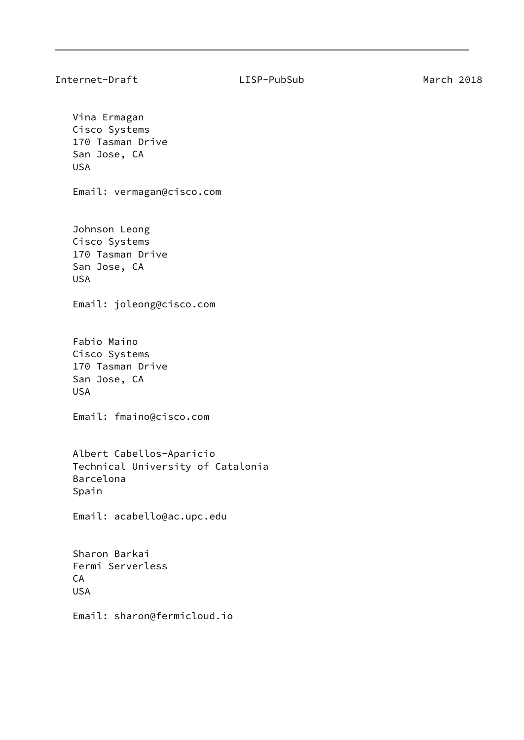Vina Ermagan Cisco Systems 170 Tasman Drive San Jose, CA USA Email: vermagan@cisco.com Johnson Leong Cisco Systems 170 Tasman Drive San Jose, CA USA Email: joleong@cisco.com Fabio Maino Cisco Systems 170 Tasman Drive San Jose, CA USA Email: fmaino@cisco.com Albert Cabellos-Aparicio Technical University of Catalonia Barcelona Spain Email: acabello@ac.upc.edu Sharon Barkai Fermi Serverless CA USA Email: sharon@fermicloud.io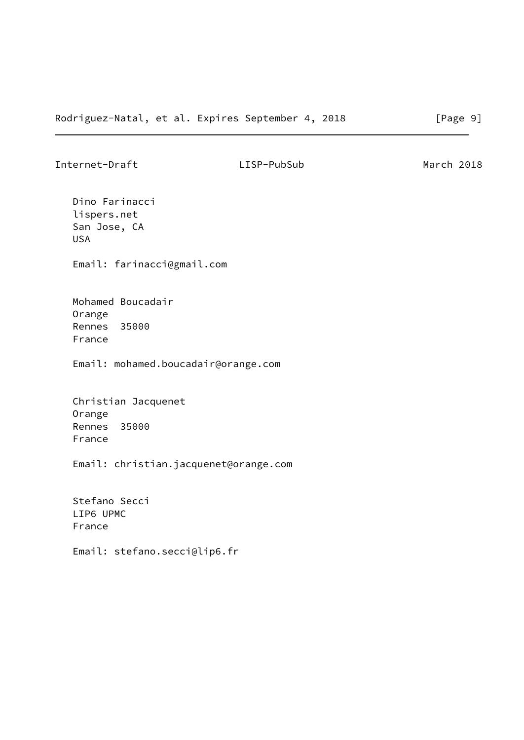Internet-Draft LISP-PubSub March 2018

 Dino Farinacci lispers.net San Jose, CA USA

Email: farinacci@gmail.com

 Mohamed Boucadair Orange Rennes 35000 France

Email: mohamed.boucadair@orange.com

 Christian Jacquenet Orange Rennes 35000 France

Email: christian.jacquenet@orange.com

 Stefano Secci LIP6 UPMC France

Email: stefano.secci@lip6.fr